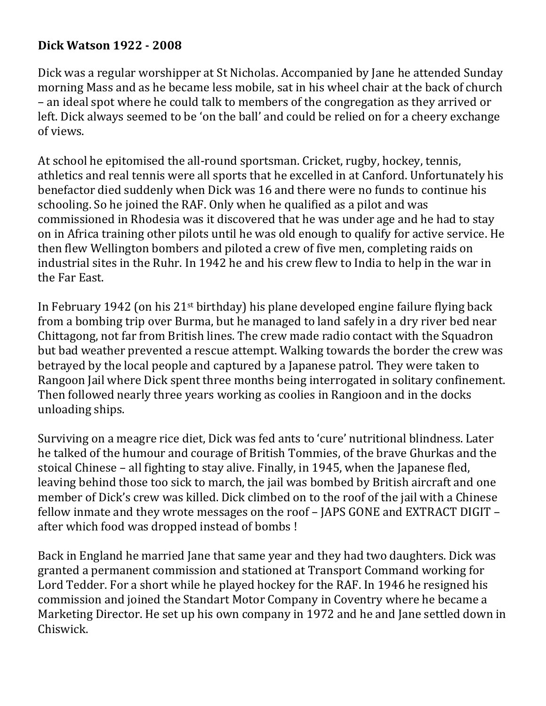## **Dick Watson 1922 - 2008**

Dick was a regular worshipper at St Nicholas. Accompanied by Jane he attended Sunday morning Mass and as he became less mobile, sat in his wheel chair at the back of church – an ideal spot where he could talk to members of the congregation as they arrived or left. Dick always seemed to be 'on the ball' and could be relied on for a cheery exchange of views.

At school he epitomised the all-round sportsman. Cricket, rugby, hockey, tennis, athletics and real tennis were all sports that he excelled in at Canford. Unfortunately his benefactor died suddenly when Dick was 16 and there were no funds to continue his schooling. So he joined the RAF. Only when he qualified as a pilot and was commissioned in Rhodesia was it discovered that he was under age and he had to stay on in Africa training other pilots until he was old enough to qualify for active service. He then flew Wellington bombers and piloted a crew of five men, completing raids on industrial sites in the Ruhr. In 1942 he and his crew flew to India to help in the war in the Far East.

In February 1942 (on his 21st birthday) his plane developed engine failure flying back from a bombing trip over Burma, but he managed to land safely in a dry river bed near Chittagong, not far from British lines. The crew made radio contact with the Squadron but bad weather prevented a rescue attempt. Walking towards the border the crew was betrayed by the local people and captured by a Japanese patrol. They were taken to Rangoon Jail where Dick spent three months being interrogated in solitary confinement. Then followed nearly three years working as coolies in Rangioon and in the docks unloading ships.

Surviving on a meagre rice diet, Dick was fed ants to 'cure' nutritional blindness. Later he talked of the humour and courage of British Tommies, of the brave Ghurkas and the stoical Chinese – all fighting to stay alive. Finally, in 1945, when the Japanese fled, leaving behind those too sick to march, the jail was bombed by British aircraft and one member of Dick's crew was killed. Dick climbed on to the roof of the jail with a Chinese fellow inmate and they wrote messages on the roof – JAPS GONE and EXTRACT DIGIT – after which food was dropped instead of bombs !

Back in England he married Jane that same year and they had two daughters. Dick was granted a permanent commission and stationed at Transport Command working for Lord Tedder. For a short while he played hockey for the RAF. In 1946 he resigned his commission and joined the Standart Motor Company in Coventry where he became a Marketing Director. He set up his own company in 1972 and he and Jane settled down in Chiswick.